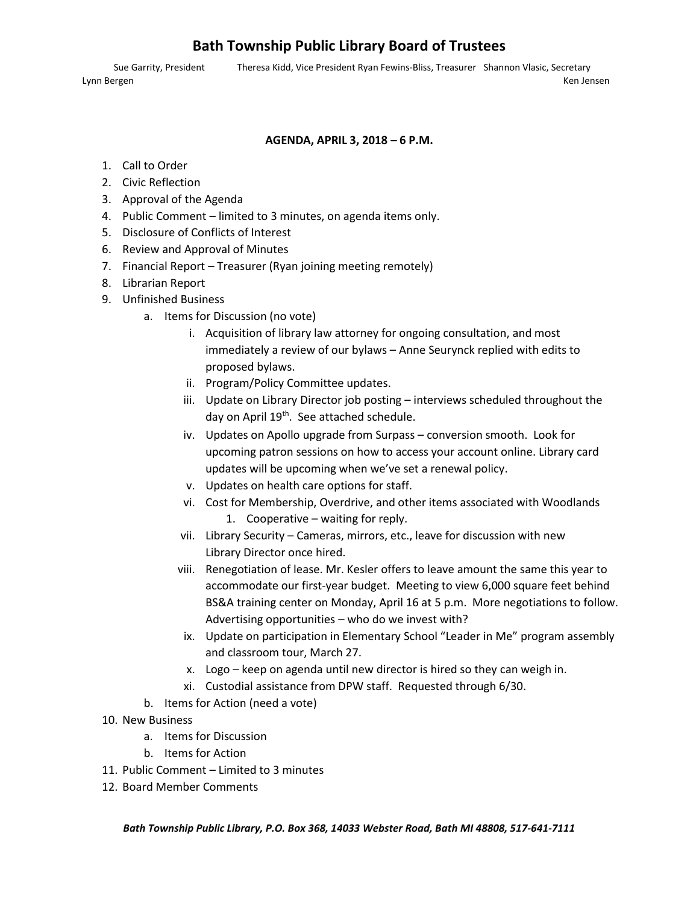## **Bath Township Public Library Board of Trustees**

Sue Garrity, President Theresa Kidd, Vice President Ryan Fewins‐Bliss, Treasurer Shannon Vlasic, Secretary Lynn Bergen Ken Jensen Ken Jensen Ken Jensen Ken Jensen Ken Jensen Ken Jensen Ken Jensen Ken Jensen Ken Jensen

#### **AGENDA, APRIL 3, 2018 – 6 P.M.**

- 1. Call to Order
- 2. Civic Reflection
- 3. Approval of the Agenda
- 4. Public Comment limited to 3 minutes, on agenda items only.
- 5. Disclosure of Conflicts of Interest
- 6. Review and Approval of Minutes
- 7. Financial Report Treasurer (Ryan joining meeting remotely)
- 8. Librarian Report
- 9. Unfinished Business
	- a. Items for Discussion (no vote)
		- i. Acquisition of library law attorney for ongoing consultation, and most immediately a review of our bylaws – Anne Seurynck replied with edits to proposed bylaws.
		- ii. Program/Policy Committee updates.
		- iii. Update on Library Director job posting interviews scheduled throughout the day on April 19<sup>th</sup>. See attached schedule.
		- iv. Updates on Apollo upgrade from Surpass conversion smooth. Look for upcoming patron sessions on how to access your account online. Library card updates will be upcoming when we've set a renewal policy.
		- v. Updates on health care options for staff.
		- vi. Cost for Membership, Overdrive, and other items associated with Woodlands 1. Cooperative – waiting for reply.
		- vii. Library Security Cameras, mirrors, etc., leave for discussion with new Library Director once hired.
		- viii. Renegotiation of lease. Mr. Kesler offers to leave amount the same this year to accommodate our first‐year budget. Meeting to view 6,000 square feet behind BS&A training center on Monday, April 16 at 5 p.m. More negotiations to follow. Advertising opportunities – who do we invest with?
		- ix. Update on participation in Elementary School "Leader in Me" program assembly and classroom tour, March 27.
		- x. Logo keep on agenda until new director is hired so they can weigh in.
		- xi. Custodial assistance from DPW staff. Requested through 6/30.
	- b. Items for Action (need a vote)
- 10. New Business
	- a. Items for Discussion
	- b. Items for Action
- 11. Public Comment Limited to 3 minutes
- 12. Board Member Comments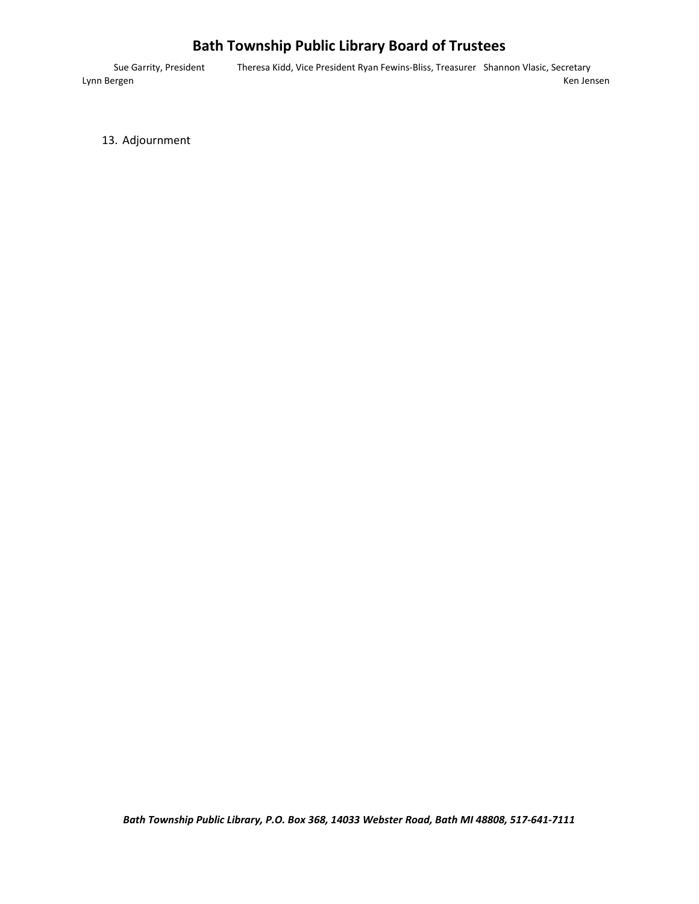# **Bath Township Public Library Board of Trustees**

Sue Garrity, President Theresa Kidd, Vice President Ryan Fewins‐Bliss, Treasurer Shannon Vlasic, Secretary Lynn Bergen Ken Jensen Ken Amerikaanse kommunister van die eerste kommunister van die kommunister van Ken Jensen

13. Adjournment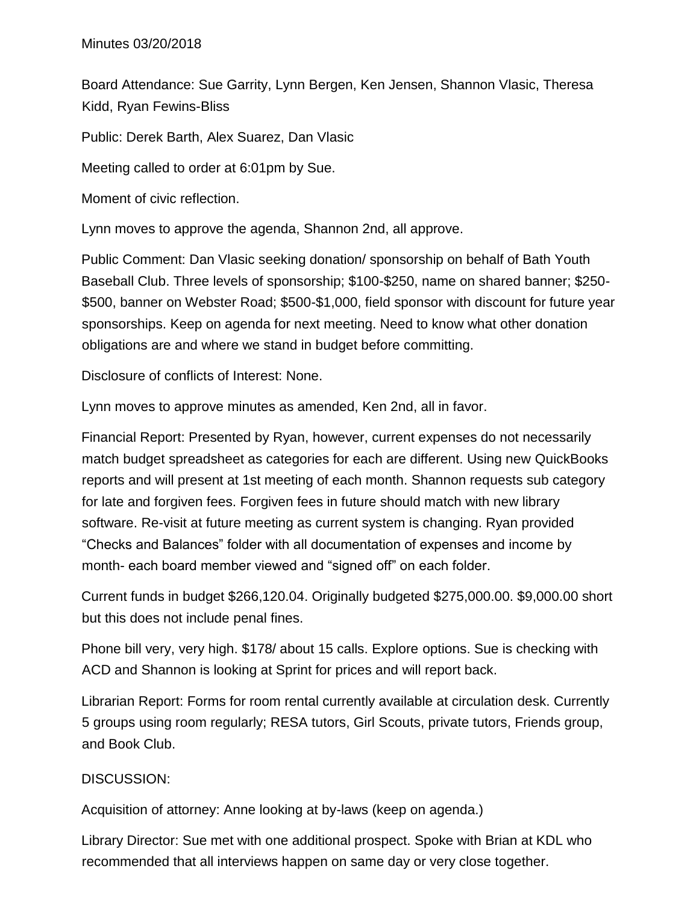Board Attendance: Sue Garrity, Lynn Bergen, Ken Jensen, Shannon Vlasic, Theresa Kidd, Ryan Fewins-Bliss

Public: Derek Barth, Alex Suarez, Dan Vlasic

Meeting called to order at 6:01pm by Sue.

Moment of civic reflection.

Lynn moves to approve the agenda, Shannon 2nd, all approve.

Public Comment: Dan Vlasic seeking donation/ sponsorship on behalf of Bath Youth Baseball Club. Three levels of sponsorship; \$100-\$250, name on shared banner; \$250- \$500, banner on Webster Road; \$500-\$1,000, field sponsor with discount for future year sponsorships. Keep on agenda for next meeting. Need to know what other donation obligations are and where we stand in budget before committing.

Disclosure of conflicts of Interest: None.

Lynn moves to approve minutes as amended, Ken 2nd, all in favor.

Financial Report: Presented by Ryan, however, current expenses do not necessarily match budget spreadsheet as categories for each are different. Using new QuickBooks reports and will present at 1st meeting of each month. Shannon requests sub category for late and forgiven fees. Forgiven fees in future should match with new library software. Re-visit at future meeting as current system is changing. Ryan provided "Checks and Balances" folder with all documentation of expenses and income by month- each board member viewed and "signed off" on each folder.

Current funds in budget \$266,120.04. Originally budgeted \$275,000.00. \$9,000.00 short but this does not include penal fines.

Phone bill very, very high. \$178/ about 15 calls. Explore options. Sue is checking with ACD and Shannon is looking at Sprint for prices and will report back.

Librarian Report: Forms for room rental currently available at circulation desk. Currently 5 groups using room regularly; RESA tutors, Girl Scouts, private tutors, Friends group, and Book Club.

### DISCUSSION:

Acquisition of attorney: Anne looking at by-laws (keep on agenda.)

Library Director: Sue met with one additional prospect. Spoke with Brian at KDL who recommended that all interviews happen on same day or very close together.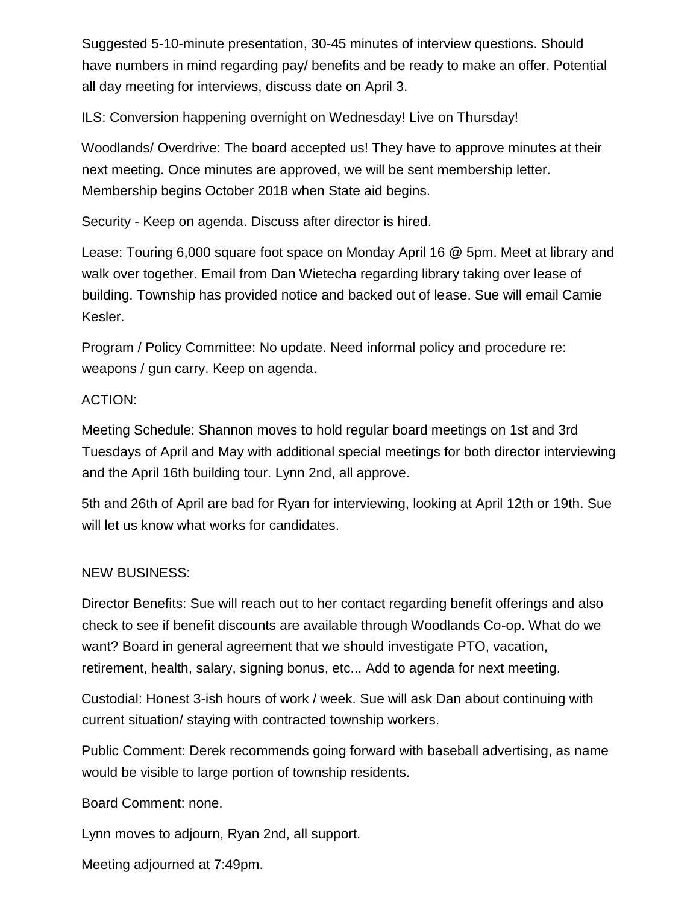Suggested 5-10-minute presentation, 30-45 minutes of interview questions. Should have numbers in mind regarding pay/ benefits and be ready to make an offer. Potential all day meeting for interviews, discuss date on April 3.

ILS: Conversion happening overnight on Wednesday! Live on Thursday!

Woodlands/ Overdrive: The board accepted us! They have to approve minutes at their next meeting. Once minutes are approved, we will be sent membership letter. Membership begins October 2018 when State aid begins.

Security - Keep on agenda. Discuss after director is hired.

Lease: Touring 6,000 square foot space on Monday April 16 @ 5pm. Meet at library and walk over together. Email from Dan Wietecha regarding library taking over lease of building. Township has provided notice and backed out of lease. Sue will email Camie Kesler.

Program / Policy Committee: No update. Need informal policy and procedure re: weapons / gun carry. Keep on agenda.

#### ACTION:

Meeting Schedule: Shannon moves to hold regular board meetings on 1st and 3rd Tuesdays of April and May with additional special meetings for both director interviewing and the April 16th building tour. Lynn 2nd, all approve.

5th and 26th of April are bad for Ryan for interviewing, looking at April 12th or 19th. Sue will let us know what works for candidates.

### NEW BUSINESS:

Director Benefits: Sue will reach out to her contact regarding benefit offerings and also check to see if benefit discounts are available through Woodlands Co-op. What do we want? Board in general agreement that we should investigate PTO, vacation, retirement, health, salary, signing bonus, etc... Add to agenda for next meeting.

Custodial: Honest 3-ish hours of work / week. Sue will ask Dan about continuing with current situation/ staying with contracted township workers.

Public Comment: Derek recommends going forward with baseball advertising, as name would be visible to large portion of township residents.

Board Comment: none.

Lynn moves to adjourn, Ryan 2nd, all support.

Meeting adjourned at 7:49pm.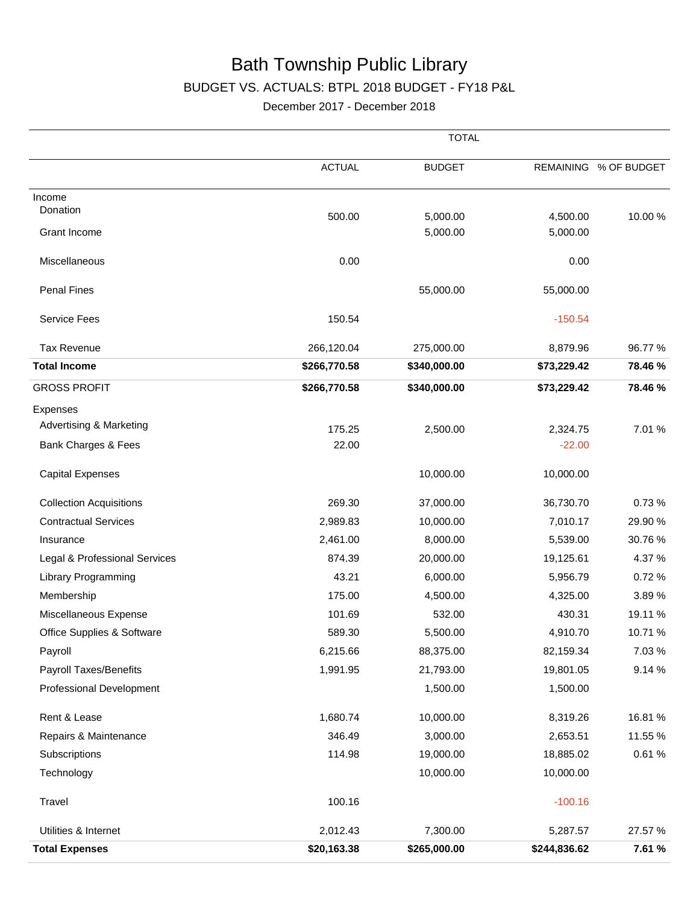# Bath Township Public Library

## BUDGET VS. ACTUALS: BTPL 2018 BUDGET - FY18 P&L

December 2017 - December 2018

|                                    |               | <b>TOTAL</b>  |              |             |
|------------------------------------|---------------|---------------|--------------|-------------|
|                                    | <b>ACTUAL</b> | <b>BUDGET</b> | REMAINING    | % OF BUDGET |
| Income                             |               |               |              |             |
| Donation                           | 500.00        | 5,000.00      | 4,500.00     | 10.00%      |
| Grant Income                       |               | 5,000.00      | 5,000.00     |             |
| Miscellaneous                      | 0.00          |               | 0.00         |             |
| <b>Penal Fines</b>                 |               | 55,000.00     | 55,000.00    |             |
| <b>Service Fees</b>                | 150.54        |               | $-150.54$    |             |
| <b>Tax Revenue</b>                 | 266,120.04    | 275,000.00    | 8,879.96     | 96.77 %     |
| <b>Total Income</b>                | \$266,770.58  | \$340,000.00  | \$73,229.42  | 78.46 %     |
| <b>GROSS PROFIT</b>                | \$266,770.58  | \$340,000.00  | \$73,229.42  | 78.46 %     |
| Expenses                           |               |               |              |             |
| <b>Advertising &amp; Marketing</b> | 175.25        | 2,500.00      | 2,324.75     | 7.01 %      |
| Bank Charges & Fees                | 22.00         |               | $-22.00$     |             |
| <b>Capital Expenses</b>            |               | 10,000.00     | 10,000.00    |             |
| <b>Collection Acquisitions</b>     | 269.30        | 37,000.00     | 36,730.70    | 0.73%       |
| <b>Contractual Services</b>        | 2,989.83      | 10,000.00     | 7,010.17     | 29.90 %     |
| Insurance                          | 2,461.00      | 8,000.00      | 5,539.00     | 30.76%      |
| Legal & Professional Services      | 874.39        | 20,000.00     | 19,125.61    | 4.37%       |
| <b>Library Programming</b>         | 43.21         | 6,000.00      | 5,956.79     | 0.72%       |
| Membership                         | 175.00        | 4,500.00      | 4,325.00     | 3.89%       |
| Miscellaneous Expense              | 101.69        | 532.00        | 430.31       | 19.11 %     |
| Office Supplies & Software         | 589.30        | 5,500.00      | 4,910.70     | 10.71%      |
| Payroll                            | 6,215.66      | 88,375.00     | 82,159.34    | 7.03 %      |
| <b>Payroll Taxes/Benefits</b>      | 1,991.95      | 21,793.00     | 19,801.05    | 9.14 %      |
| Professional Development           |               | 1,500.00      | 1,500.00     |             |
| Rent & Lease                       | 1,680.74      | 10,000.00     | 8,319.26     | 16.81%      |
| Repairs & Maintenance              | 346.49        | 3,000.00      | 2,653.51     | 11.55 %     |
| Subscriptions                      | 114.98        | 19,000.00     | 18,885.02    | 0.61%       |
| Technology                         |               | 10,000.00     | 10,000.00    |             |
| Travel                             | 100.16        |               | $-100.16$    |             |
| Utilities & Internet               | 2,012.43      | 7,300.00      | 5,287.57     | 27.57 %     |
| <b>Total Expenses</b>              | \$20,163.38   | \$265,000.00  | \$244,836.62 | 7.61 %      |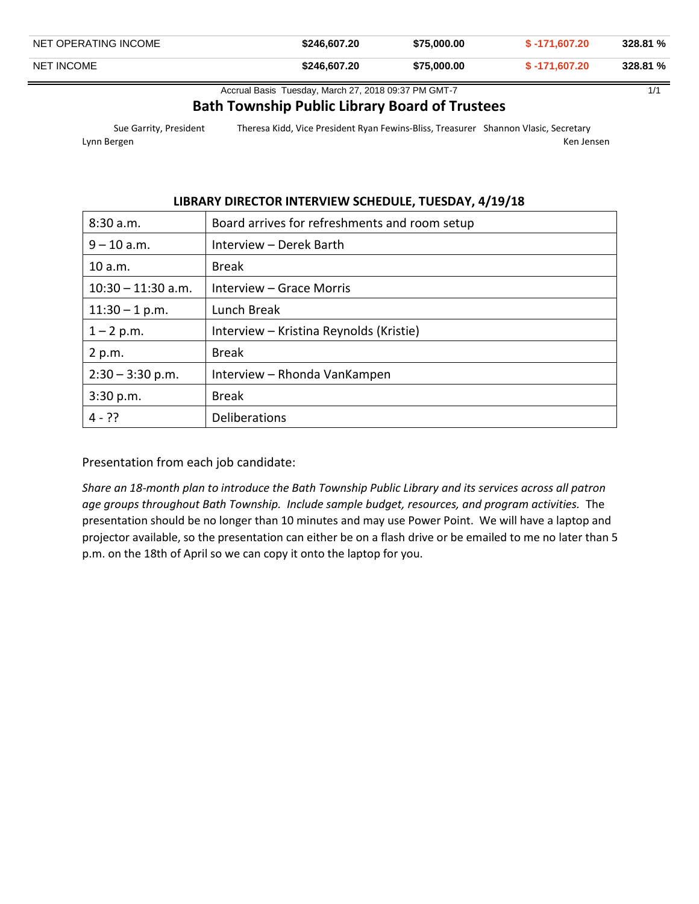| NET OPERATING INCOME | \$246,607,20 | \$75,000,00 | $$ -171.607.20$ | 328.81 % |
|----------------------|--------------|-------------|-----------------|----------|
| <b>NET INCOME</b>    | \$246.607.20 | \$75,000,00 | \$ -171.607.20  | 328.81 % |

Accrual Basis Tuesday, March 27, 2018 09:37 PM GMT-7 11 11 1/1

#### **Bath Township Public Library Board of Trustees**

Sue Garrity, President Theresa Kidd, Vice President Ryan Fewins‐Bliss, Treasurer Shannon Vlasic, Secretary Lynn Bergen Ken Jensen Ken Jensen Ken Jensen Ken Jensen Ken Jensen Ken Jensen Ken Jensen Ken Jensen Ken Jensen

#### **LIBRARY DIRECTOR INTERVIEW SCHEDULE, TUESDAY, 4/19/18**

| 8:30 a.m.            | Board arrives for refreshments and room setup |
|----------------------|-----------------------------------------------|
| $9 - 10$ a.m.        | Interview - Derek Barth                       |
| 10 a.m.              | <b>Break</b>                                  |
| $10:30 - 11:30$ a.m. | Interview - Grace Morris                      |
| $11:30 - 1 p.m.$     | Lunch Break                                   |
| $1 - 2 p.m.$         | Interview - Kristina Reynolds (Kristie)       |
| 2 p.m.               | <b>Break</b>                                  |
| $2:30 - 3:30$ p.m.   | Interview - Rhonda VanKampen                  |
| 3:30 p.m.            | <b>Break</b>                                  |
| $4 - ??$             | Deliberations                                 |

Presentation from each job candidate:

*Share an 18‐month plan to introduce the Bath Township Public Library and its services across all patron age groups throughout Bath Township. Include sample budget, resources, and program activities.* The presentation should be no longer than 10 minutes and may use Power Point. We will have a laptop and projector available, so the presentation can either be on a flash drive or be emailed to me no later than 5 p.m. on the 18th of April so we can copy it onto the laptop for you.